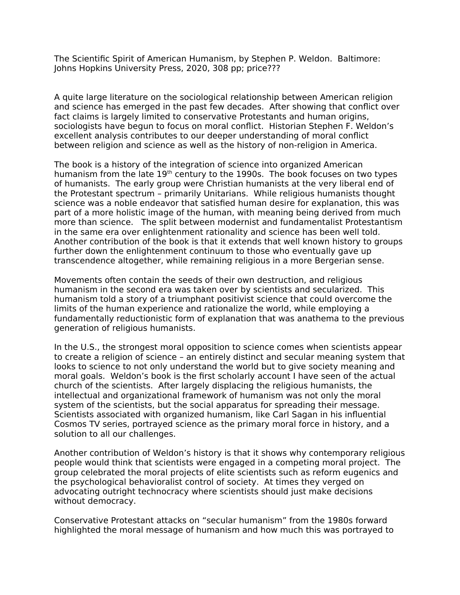The Scientific Spirit of American Humanism, by Stephen P. Weldon. Baltimore: Johns Hopkins University Press, 2020, 308 pp; price???

A quite large literature on the sociological relationship between American religion and science has emerged in the past few decades. After showing that conflict over fact claims is largely limited to conservative Protestants and human origins, sociologists have begun to focus on moral conflict. Historian Stephen F. Weldon's excellent analysis contributes to our deeper understanding of moral conflict between religion and science as well as the history of non-religion in America.

The book is a history of the integration of science into organized American humanism from the late 19<sup>th</sup> century to the 1990s. The book focuses on two types of humanists. The early group were Christian humanists at the very liberal end of the Protestant spectrum – primarily Unitarians. While religious humanists thought science was a noble endeavor that satisfied human desire for explanation, this was part of a more holistic image of the human, with meaning being derived from much more than science. The split between modernist and fundamentalist Protestantism in the same era over enlightenment rationality and science has been well told. Another contribution of the book is that it extends that well known history to groups further down the enlightenment continuum to those who eventually gave up transcendence altogether, while remaining religious in a more Bergerian sense.

Movements often contain the seeds of their own destruction, and religious humanism in the second era was taken over by scientists and secularized. This humanism told a story of a triumphant positivist science that could overcome the limits of the human experience and rationalize the world, while employing a fundamentally reductionistic form of explanation that was anathema to the previous generation of religious humanists.

In the U.S., the strongest moral opposition to science comes when scientists appear to create a religion of science – an entirely distinct and secular meaning system that looks to science to not only understand the world but to give society meaning and moral goals. Weldon's book is the first scholarly account I have seen of the actual church of the scientists. After largely displacing the religious humanists, the intellectual and organizational framework of humanism was not only the moral system of the scientists, but the social apparatus for spreading their message. Scientists associated with organized humanism, like Carl Sagan in his influential Cosmos TV series, portrayed science as the primary moral force in history, and a solution to all our challenges.

Another contribution of Weldon's history is that it shows why contemporary religious people would think that scientists were engaged in a competing moral project. The group celebrated the moral projects of elite scientists such as reform eugenics and the psychological behavioralist control of society. At times they verged on advocating outright technocracy where scientists should just make decisions without democracy.

Conservative Protestant attacks on "secular humanism" from the 1980s forward highlighted the moral message of humanism and how much this was portrayed to